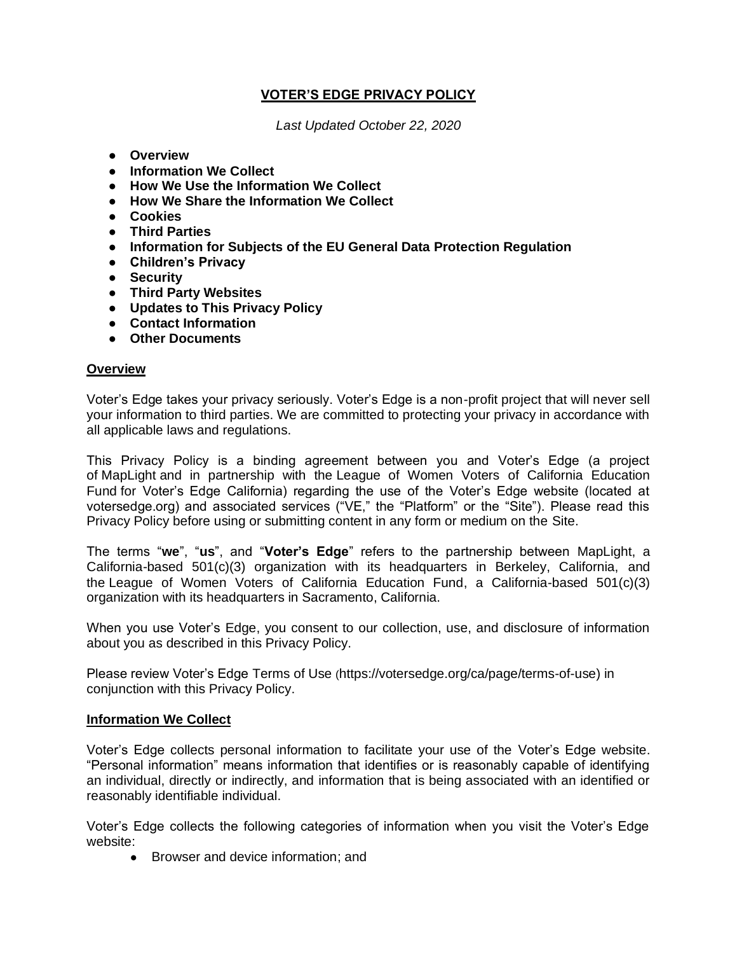# **VOTER'S EDGE PRIVACY POLICY**

*Last Updated October 22, 2020*

- **Overview**
- **Information We Collect**
- **How We Use the Information We Collect**
- **How We Share the Information We Collect**
- **Cookies**
- **Third Parties**
- **Information for Subjects of the EU General Data Protection Regulation**
- **Children's Privacy**
- **Security**
- **Third Party Websites**
- **Updates to This Privacy Policy**
- **Contact Information**
- **Other Documents**

#### **Overview**

Voter's Edge takes your privacy seriously. Voter's Edge is a non-profit project that will never sell your information to third parties. We are committed to protecting your privacy in accordance with all applicable laws and regulations.

This Privacy Policy is a binding agreement between you and Voter's Edge (a project of [MapLight](http://maplight.org/) and in partnership with the [League of Women Voters of California Education](https://cavotes.org/)  [Fund](https://cavotes.org/) for Voter's Edge California) regarding the use of the Voter's Edge website (located at votersedge.org) and associated services ("VE," the "Platform" or the "Site"). Please read this Privacy Policy before using or submitting content in any form or medium on the Site.

The terms "**we**", "**us**", and "**Voter's Edge**" refers to the partnership between [MapLight,](http://maplight.org/) a California-based 501(c)(3) organization with its headquarters in Berkeley, California, and the [League of Women Voters](https://cavotes.org/) [of](https://cavotes.org/) [California Education Fund,](https://cavotes.org/) a California-based 501(c)(3) organization with its headquarters in Sacramento, California.

When you use Voter's Edge, you consent to our collection, use, and disclosure of information about you as described in this Privacy Policy.

Please review Voter's Edge Terms of Use (https://votersedge.org/ca/page/terms-of-use) in conjunction with this Privacy Policy.

#### **Information We Collect**

Voter's Edge collects personal information to facilitate your use of the Voter's Edge website. "Personal information" means information that identifies or is reasonably capable of identifying an individual, directly or indirectly, and information that is being associated with an identified or reasonably identifiable individual.

Voter's Edge collects the following categories of information when you visit the Voter's Edge website:

• Browser and device information: and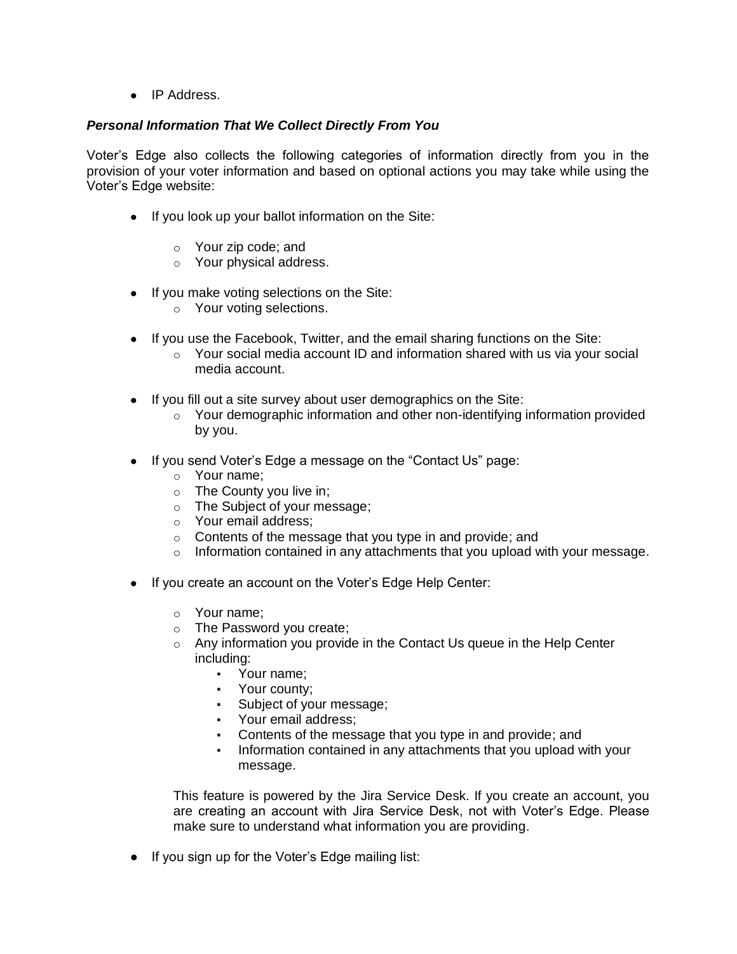• IP Address.

## *Personal Information That We Collect Directly From You*

Voter's Edge also collects the following categories of information directly from you in the provision of your voter information and based on optional actions you may take while using the Voter's Edge website:

- If you look up your ballot information on the Site:
	- o Your zip code; and
	- o Your physical address.
- If you make voting selections on the Site:
	- o Your voting selections.
- If you use the Facebook, Twitter, and the email sharing functions on the Site:
	- $\circ$  Your social media account ID and information shared with us via your social media account.
- If you fill out a site survey about user demographics on the Site:
	- $\circ$  Your demographic information and other non-identifying information provided by you.
- If you send Voter's Edge a message on the "Contact Us" page:
	- o Your name;
	- o The County you live in;
	- o The Subject of your message;
	- o Your email address;
	- $\circ$  Contents of the message that you type in and provide; and
	- $\circ$  Information contained in any attachments that you upload with your message.
- If you create an account on the Voter's Edge Help Center:
	- o Your name;
	- o The Password you create;
	- o Any information you provide in the Contact Us queue in the Help Center including:
		- Your name;
		- Your county;
		- Subject of your message;
		- Your email address;
		- Contents of the message that you type in and provide; and
		- Information contained in any attachments that you upload with your message.

This feature is powered by the Jira Service Desk. If you create an account, you are creating an account with Jira Service Desk, not with Voter's Edge. Please make sure to understand what information you are providing.

● If you sign up for the Voter's Edge mailing list: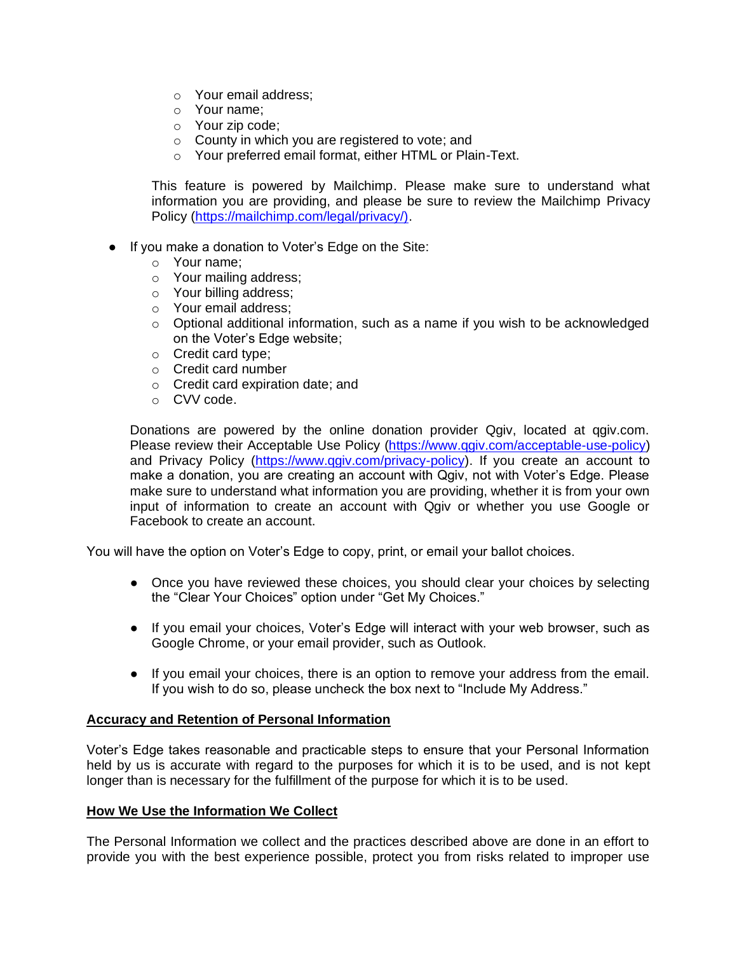- o Your email address;
- o Your name;
- o Your zip code;
- o County in which you are registered to vote; and
- o Your preferred email format, either HTML or Plain-Text.

This feature is powered by Mailchimp. Please make sure to understand what information you are providing, and please be sure to review the Mailchimp Privacy Policy [\(https://mailchimp.com/legal/privacy/\).](https://mailchimp.com/legal/privacy/))

- If you make a donation to Voter's Edge on the Site:
	- o Your name;
	- o Your mailing address;
	- o Your billing address;
	- o Your email address;
	- $\circ$  Optional additional information, such as a name if you wish to be acknowledged on the Voter's Edge website;
	- o Credit card type;
	- o Credit card number
	- o Credit card expiration date; and
	- o CVV code.

Donations are powered by the online donation provider Qgiv, located at qgiv.com. Please review their Acceptable Use Policy [\(https://www.qgiv.com/acceptable-use-policy\)](https://www.qgiv.com/acceptable-use-policy) and Privacy Policy [\(https://www.qgiv.com/privacy-policy\)](https://www.qgiv.com/privacy-policy). If you create an account to make a donation, you are creating an account with Qgiv, not with Voter's Edge. Please make sure to understand what information you are providing, whether it is from your own input of information to create an account with Qgiv or whether you use Google or Facebook to create an account.

You will have the option on Voter's Edge to copy, print, or email your ballot choices.

- Once you have reviewed these choices, you should clear your choices by selecting the "Clear Your Choices" option under "Get My Choices."
- If you email your choices, Voter's Edge will interact with your web browser, such as Google Chrome, or your email provider, such as Outlook.
- If you email your choices, there is an option to remove your address from the email. If you wish to do so, please uncheck the box next to "Include My Address."

#### **Accuracy and Retention of Personal Information**

Voter's Edge takes reasonable and practicable steps to ensure that your Personal Information held by us is accurate with regard to the purposes for which it is to be used, and is not kept longer than is necessary for the fulfillment of the purpose for which it is to be used.

#### **How We Use the Information We Collect**

The Personal Information we collect and the practices described above are done in an effort to provide you with the best experience possible, protect you from risks related to improper use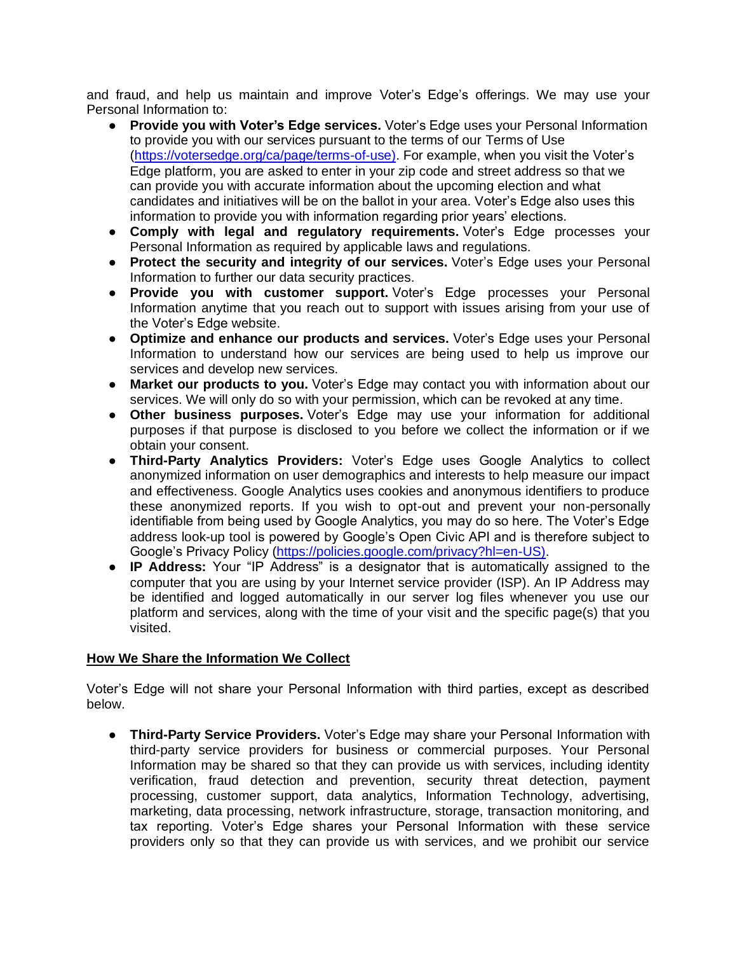and fraud, and help us maintain and improve Voter's Edge's offerings. We may use your Personal Information to:

- **Provide you with Voter's Edge services.** Voter's Edge uses your Personal Information to provide you with our services pursuant to the terms of our Terms of Use [\(https://votersedge.org/ca/page/terms-of-use\).](https://votersedge.org/ca/page/terms-of-use)) For example, when you visit the Voter's Edge platform, you are asked to enter in your zip code and street address so that we can provide you with accurate information about the upcoming election and what candidates and initiatives will be on the ballot in your area. Voter's Edge also uses this information to provide you with information regarding prior years' elections.
- **Comply with legal and regulatory requirements.** Voter's Edge processes your Personal Information as required by applicable laws and regulations.
- **Protect the security and integrity of our services.** Voter's Edge uses your Personal Information to further our data security practices.
- **Provide you with customer support.** Voter's Edge processes your Personal Information anytime that you reach out to support with issues arising from your use of the Voter's Edge website.
- **Optimize and enhance our products and services.** Voter's Edge uses your Personal Information to understand how our services are being used to help us improve our services and develop new services.
- **Market our products to you.** Voter's Edge may contact you with information about our services. We will only do so with your permission, which can be revoked at any time.
- **Other business purposes.** Voter's Edge may use your information for additional purposes if that purpose is disclosed to you before we collect the information or if we obtain your consent.
- **Third-Party Analytics Providers:** Voter's Edge uses Google Analytics to collect anonymized information on user demographics and interests to help measure our impact and effectiveness. Google Analytics uses cookies and anonymous identifiers to produce these anonymized reports. If you wish to opt-out and prevent your non-personally identifiable from being used by Google Analytics, you may do so here. The Voter's Edge address look-up tool is powered by Google's Open Civic API and is therefore subject to Google's Privacy Policy [\(https://policies.google.com/privacy?hl=en-US\).](https://policies.google.com/privacy?hl=en-US))
- **IP Address:** Your "IP Address" is a designator that is automatically assigned to the computer that you are using by your Internet service provider (ISP). An IP Address may be identified and logged automatically in our server log files whenever you use our platform and services, along with the time of your visit and the specific page(s) that you visited.

## **How We Share the Information We Collect**

Voter's Edge will not share your Personal Information with third parties, except as described below.

● **Third-Party Service Providers.** Voter's Edge may share your Personal Information with third-party service providers for business or commercial purposes. Your Personal Information may be shared so that they can provide us with services, including identity verification, fraud detection and prevention, security threat detection, payment processing, customer support, data analytics, Information Technology, advertising, marketing, data processing, network infrastructure, storage, transaction monitoring, and tax reporting. Voter's Edge shares your Personal Information with these service providers only so that they can provide us with services, and we prohibit our service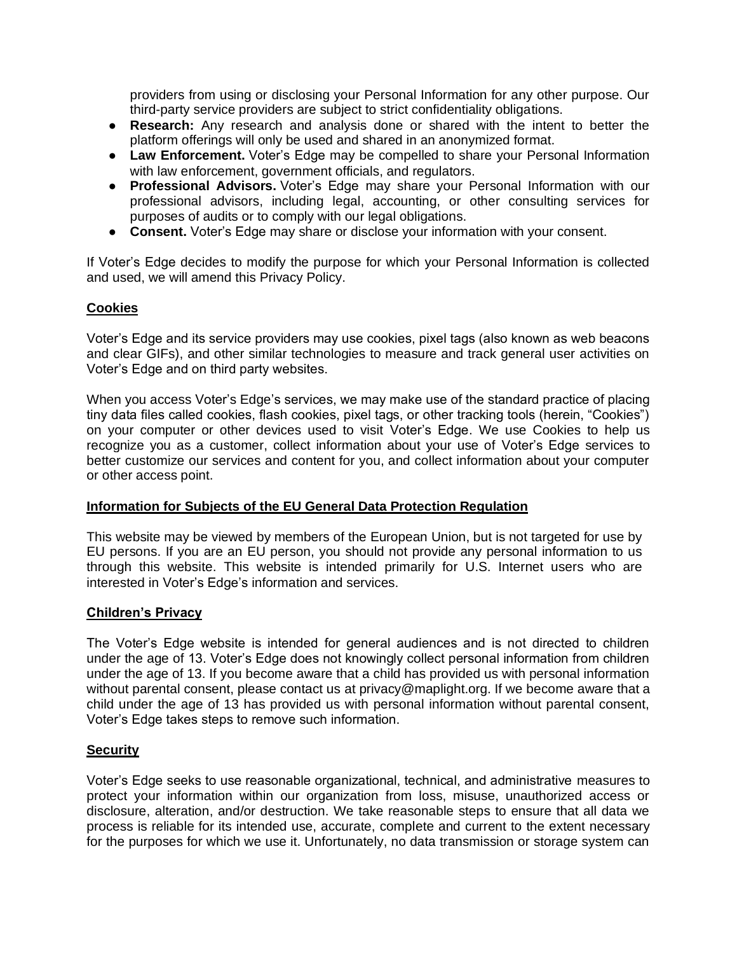providers from using or disclosing your Personal Information for any other purpose. Our third-party service providers are subject to strict confidentiality obligations.

- **Research:** Any research and analysis done or shared with the intent to better the platform offerings will only be used and shared in an anonymized format.
- **Law Enforcement.** Voter's Edge may be compelled to share your Personal Information with law enforcement, government officials, and regulators.
- **Professional Advisors.** Voter's Edge may share your Personal Information with our professional advisors, including legal, accounting, or other consulting services for purposes of audits or to comply with our legal obligations.
- **Consent.** Voter's Edge may share or disclose your information with your consent.

If Voter's Edge decides to modify the purpose for which your Personal Information is collected and used, we will amend this Privacy Policy.

## **Cookies**

Voter's Edge and its service providers may use cookies, pixel tags (also known as web beacons and clear GIFs), and other similar technologies to measure and track general user activities on Voter's Edge and on third party websites.

When you access Voter's Edge's services, we may make use of the standard practice of placing tiny data files called cookies, flash cookies, pixel tags, or other tracking tools (herein, "Cookies") on your computer or other devices used to visit Voter's Edge. We use Cookies to help us recognize you as a customer, collect information about your use of Voter's Edge services to better customize our services and content for you, and collect information about your computer or other access point.

#### **Information for Subjects of the EU General Data Protection Regulation**

This website may be viewed by members of the European Union, but is not targeted for use by EU persons. If you are an EU person, you should not provide any personal information to us through this website. This website is intended primarily for U.S. Internet users who are interested in Voter's Edge's information and services.

#### **Children's Privacy**

The Voter's Edge website is intended for general audiences and is not directed to children under the age of 13. Voter's Edge does not knowingly collect personal information from children under the age of 13. If you become aware that a child has provided us with personal information without parental consent, please contact us at privacy@maplight.org. If we become aware that a child under the age of 13 has provided us with personal information without parental consent, Voter's Edge takes steps to remove such information.

#### **Security**

Voter's Edge seeks to use reasonable organizational, technical, and administrative measures to protect your information within our organization from loss, misuse, unauthorized access or disclosure, alteration, and/or destruction. We take reasonable steps to ensure that all data we process is reliable for its intended use, accurate, complete and current to the extent necessary for the purposes for which we use it. Unfortunately, no data transmission or storage system can